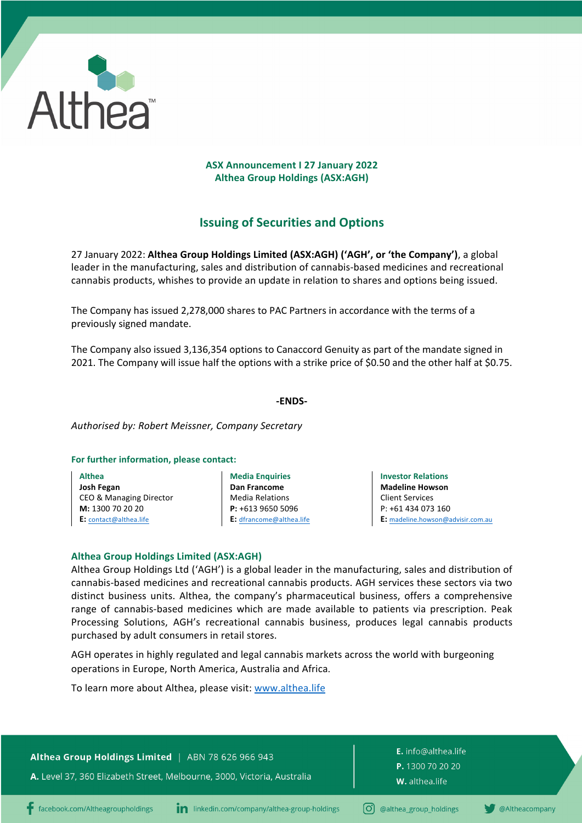

## **ASX Announcement I 27 January 2022 Althea Group Holdings (ASX:AGH)**

# **Issuing of Securities and Options**

27 January 2022: **Althea Group Holdings Limited (ASX:AGH) ('AGH', or 'the Company')**, a global leader in the manufacturing, sales and distribution of cannabis-based medicines and recreational cannabis products, whishes to provide an update in relation to shares and options being issued.

The Company has issued 2,278,000 shares to PAC Partners in accordance with the terms of a previously signed mandate.

The Company also issued 3,136,354 options to Canaccord Genuity as part of the mandate signed in 2021. The Company will issue half the options with a strike price of \$0.50 and the other half at \$0.75.

### **-ENDS-**

*Authorised by: Robert Meissner, Company Secretary*

#### **For further information, please contact:**

**Althea Josh Fegan**  CEO & Managing Director **M:** 1300 70 20 20 **E:** contact@althea.life

**Media Enquiries Dan Francome** Media Relations **P:** +613 9650 5096 **E:** dfrancome@althea.life

**Investor Relations Madeline Howson** Client Services P: +61 434 073 160 **E:** madeline.howson@advisir.com.au

## **Althea Group Holdings Limited (ASX:AGH)**

Althea Group Holdings Ltd ('AGH') is a global leader in the manufacturing, sales and distribution of cannabis-based medicines and recreational cannabis products. AGH services these sectors via two distinct business units. Althea, the company's pharmaceutical business, offers a comprehensive range of cannabis-based medicines which are made available to patients via prescription. Peak Processing Solutions, AGH's recreational cannabis business, produces legal cannabis products purchased by adult consumers in retail stores.

AGH operates in highly regulated and legal cannabis markets across the world with burgeoning operations in Europe, North America, Australia and Africa.

To learn more about Althea, please visit: www.althea.life

Althea Group Holdings Limited | ABN 78 626 966 943

A. Level 37, 360 Elizabeth Street, Melbourne, 3000, Victoria, Australia

E. info@althea.life P. 1300 70 20 20 W. althea.life